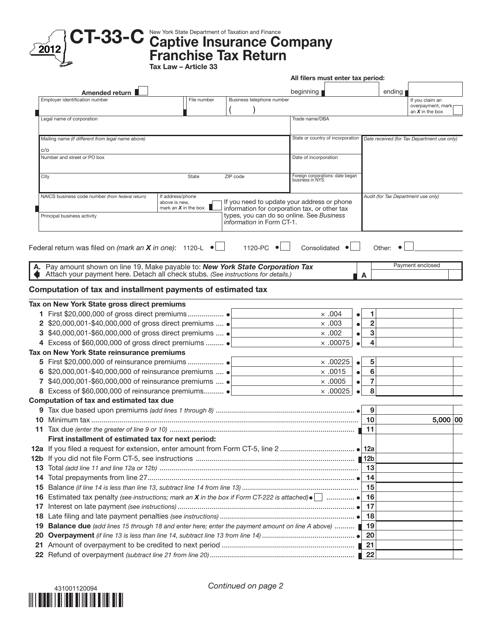

CT-33-C New York State Department of Taxation and Finance Company

Franchise Tax Return Tax Law – Article 33

|    | All filers must enter tax period:                                                                           |                                   |                                                                                                                                |                                                     |                             |        |                                             |          |  |
|----|-------------------------------------------------------------------------------------------------------------|-----------------------------------|--------------------------------------------------------------------------------------------------------------------------------|-----------------------------------------------------|-----------------------------|--------|---------------------------------------------|----------|--|
|    | Amended return                                                                                              |                                   |                                                                                                                                | beginning                                           |                             | ending |                                             |          |  |
|    | Employer identification number                                                                              | File number                       | Business telephone number                                                                                                      |                                                     |                             |        | If you claim an                             |          |  |
|    |                                                                                                             |                                   |                                                                                                                                |                                                     |                             |        | overpayment, mark<br>an $X$ in the box      |          |  |
|    | Legal name of corporation                                                                                   |                                   |                                                                                                                                | Trade name/DBA                                      |                             |        |                                             |          |  |
|    | Mailing name (if different from legal name above)                                                           |                                   |                                                                                                                                | State or country of incorporation                   |                             |        | Date received (for Tax Department use only) |          |  |
|    | c/o                                                                                                         |                                   |                                                                                                                                |                                                     |                             |        |                                             |          |  |
|    | Number and street or PO box                                                                                 |                                   |                                                                                                                                | Date of incorporation                               |                             |        |                                             |          |  |
|    | City                                                                                                        | State                             | ZIP code                                                                                                                       | Foreign corporations: date began<br>business in NYS |                             |        |                                             |          |  |
|    | NAICS business code number (from federal return)                                                            | If address/phone<br>above is new, |                                                                                                                                | If you need to update your address or phone         |                             |        | Audit (for Tax Department use only)         |          |  |
|    | Principal business activity                                                                                 | mark an $X$ in the box            | information for corporation tax, or other tax<br>types, you can do so online. See Business<br><i>information</i> in Form CT-1. |                                                     |                             |        |                                             |          |  |
|    | Federal return was filed on (mark an X in one): 1120-L                                                      | $\bullet$ $\Box$                  | 1120-PC                                                                                                                        | Consolidated •                                      |                             | Other: |                                             |          |  |
|    |                                                                                                             |                                   |                                                                                                                                |                                                     |                             |        |                                             |          |  |
|    | A. Pay amount shown on line 19. Make payable to: New York State Corporation Tax                             |                                   |                                                                                                                                |                                                     |                             |        | Payment enclosed                            |          |  |
|    | Attach your payment here. Detach all check stubs. (See instructions for details.)                           |                                   |                                                                                                                                |                                                     | A                           |        |                                             |          |  |
|    | Computation of tax and installment payments of estimated tax                                                |                                   |                                                                                                                                |                                                     |                             |        |                                             |          |  |
|    | Tax on New York State gross direct premiums                                                                 |                                   |                                                                                                                                |                                                     |                             |        |                                             |          |  |
|    |                                                                                                             |                                   |                                                                                                                                | $\times$ .004                                       | 1<br>$\bullet$              |        |                                             |          |  |
|    | 2 \$20,000,001-\$40,000,000 of gross direct premiums  ●                                                     |                                   |                                                                                                                                | $\times.003$                                        | $\overline{2}$<br>$\bullet$ |        |                                             |          |  |
|    | 3 \$40,000,001-\$60,000,000 of gross direct premiums  ●                                                     |                                   |                                                                                                                                | $\times .002$                                       | 3<br>$\bullet$              |        |                                             |          |  |
|    | 4 Excess of \$60,000,000 of gross direct premiums  .                                                        |                                   |                                                                                                                                | $\times$ .00075                                     | 4<br>$\bullet$              |        |                                             |          |  |
|    | Tax on New York State reinsurance premiums                                                                  |                                   |                                                                                                                                |                                                     |                             |        |                                             |          |  |
|    |                                                                                                             |                                   |                                                                                                                                | $\times$ .00225                                     | 5<br>$\bullet$              |        |                                             |          |  |
|    | 6 \$20,000,001-\$40,000,000 of reinsurance premiums  ●                                                      |                                   |                                                                                                                                | $\times$ .0015                                      | 6<br>$\bullet$              |        |                                             |          |  |
|    | \$40,000,001-\$60,000,000 of reinsurance premiums  •                                                        |                                   |                                                                                                                                | $\times$ .0005                                      | 7<br>٠                      |        |                                             |          |  |
|    |                                                                                                             |                                   |                                                                                                                                | $\times$ .00025                                     | 8                           |        |                                             |          |  |
|    | Computation of tax and estimated tax due                                                                    |                                   |                                                                                                                                |                                                     |                             |        |                                             |          |  |
|    |                                                                                                             |                                   |                                                                                                                                |                                                     | 9                           |        |                                             |          |  |
|    |                                                                                                             |                                   |                                                                                                                                |                                                     | 10                          |        |                                             | 5,000 00 |  |
|    | <b>11</b> Tax due (enter the greater of line 9 or 10)                                                       |                                   |                                                                                                                                |                                                     | 11                          |        |                                             |          |  |
|    | First installment of estimated tax for next period:                                                         |                                   |                                                                                                                                |                                                     |                             |        |                                             |          |  |
|    |                                                                                                             |                                   |                                                                                                                                |                                                     |                             |        |                                             |          |  |
|    |                                                                                                             |                                   |                                                                                                                                |                                                     |                             |        |                                             |          |  |
|    |                                                                                                             |                                   |                                                                                                                                |                                                     | -13                         |        |                                             |          |  |
| 14 |                                                                                                             |                                   |                                                                                                                                |                                                     | -14                         |        |                                             |          |  |
| 15 |                                                                                                             |                                   |                                                                                                                                |                                                     | 15                          |        |                                             |          |  |
| 16 | Estimated tax penalty (see instructions; mark an X in the box if Form CT-222 is attached) $\bullet$         |                                   |                                                                                                                                |                                                     | -16                         |        |                                             |          |  |
| 17 |                                                                                                             |                                   |                                                                                                                                |                                                     | 17                          |        |                                             |          |  |
| 18 |                                                                                                             |                                   |                                                                                                                                |                                                     |                             |        |                                             |          |  |
| 19 | <b>Balance due</b> (add lines 15 through 18 and enter here; enter the payment amount on line A above)  ■ 19 |                                   |                                                                                                                                |                                                     |                             |        |                                             |          |  |
| 20 |                                                                                                             |                                   |                                                                                                                                |                                                     | -20                         |        |                                             |          |  |
|    |                                                                                                             |                                   |                                                                                                                                |                                                     |                             |        |                                             |          |  |
|    |                                                                                                             |                                   |                                                                                                                                |                                                     |                             |        |                                             |          |  |



*Continued on page 2*